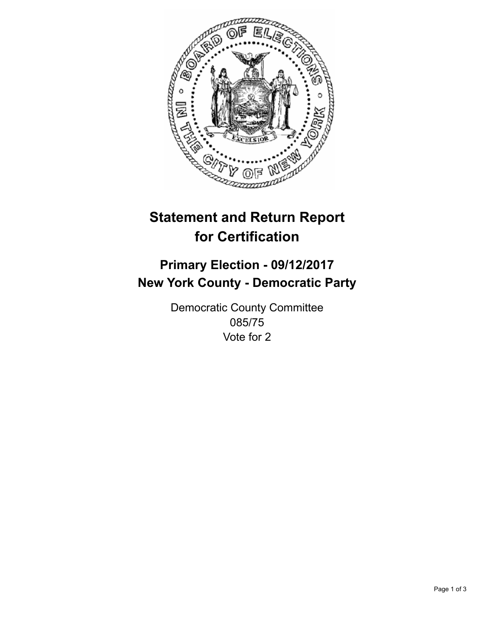

## **Statement and Return Report for Certification**

## **Primary Election - 09/12/2017 New York County - Democratic Party**

Democratic County Committee 085/75 Vote for 2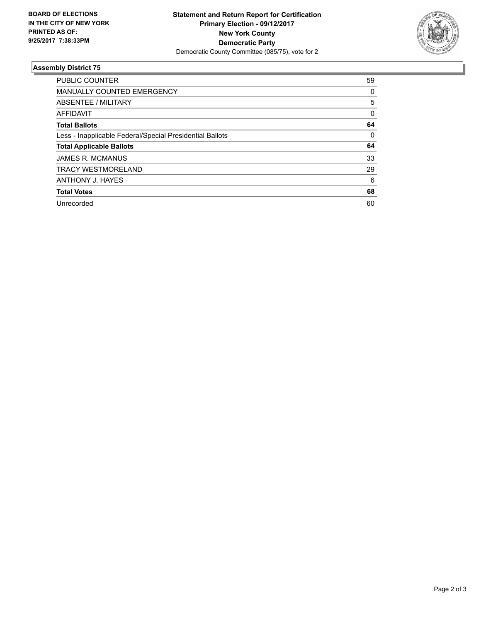

## **Assembly District 75**

| <b>PUBLIC COUNTER</b>                                    | 59 |
|----------------------------------------------------------|----|
| MANUALLY COUNTED EMERGENCY                               | 0  |
| ABSENTEE / MILITARY                                      | 5  |
| AFFIDAVIT                                                | 0  |
| <b>Total Ballots</b>                                     | 64 |
| Less - Inapplicable Federal/Special Presidential Ballots | 0  |
| <b>Total Applicable Ballots</b>                          | 64 |
| <b>JAMES R. MCMANUS</b>                                  | 33 |
| <b>TRACY WESTMORELAND</b>                                | 29 |
| ANTHONY J. HAYES                                         | 6  |
| <b>Total Votes</b>                                       | 68 |
| Unrecorded                                               | 60 |